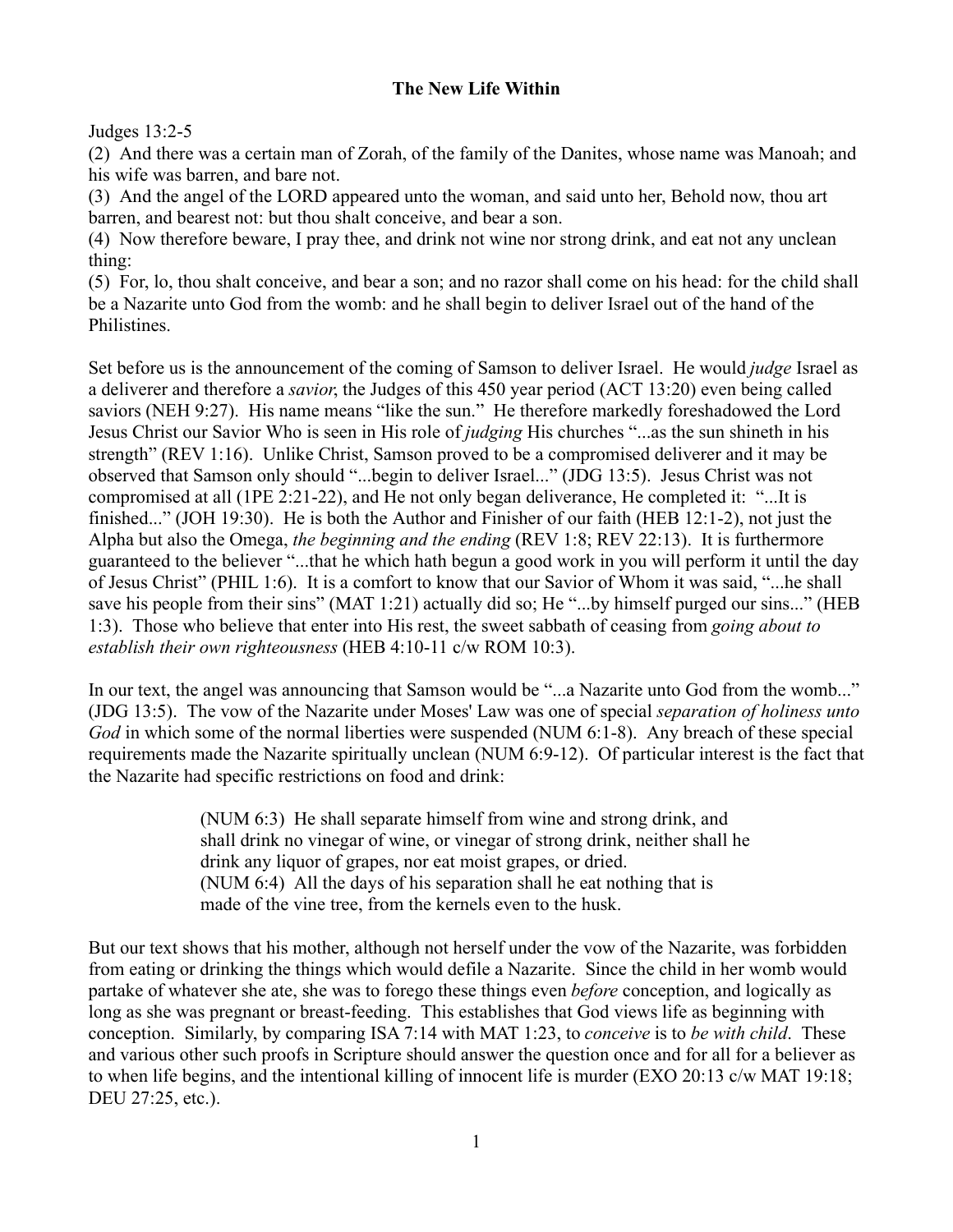## **The New Life Within**

## Judges 13:2-5

(2) And there was a certain man of Zorah, of the family of the Danites, whose name was Manoah; and his wife was barren, and bare not.

(3) And the angel of the LORD appeared unto the woman, and said unto her, Behold now, thou art barren, and bearest not: but thou shalt conceive, and bear a son.

(4) Now therefore beware, I pray thee, and drink not wine nor strong drink, and eat not any unclean thing:

(5) For, lo, thou shalt conceive, and bear a son; and no razor shall come on his head: for the child shall be a Nazarite unto God from the womb: and he shall begin to deliver Israel out of the hand of the Philistines.

Set before us is the announcement of the coming of Samson to deliver Israel. He would *judge* Israel as a deliverer and therefore a *savior*, the Judges of this 450 year period (ACT 13:20) even being called saviors (NEH 9:27). His name means "like the sun." He therefore markedly foreshadowed the Lord Jesus Christ our Savior Who is seen in His role of *judging* His churches "...as the sun shineth in his strength" (REV 1:16). Unlike Christ, Samson proved to be a compromised deliverer and it may be observed that Samson only should "...begin to deliver Israel..." (JDG 13:5). Jesus Christ was not compromised at all (1PE 2:21-22), and He not only began deliverance, He completed it: "...It is finished..." (JOH 19:30). He is both the Author and Finisher of our faith (HEB 12:1-2), not just the Alpha but also the Omega, *the beginning and the ending* (REV 1:8; REV 22:13). It is furthermore guaranteed to the believer "...that he which hath begun a good work in you will perform it until the day of Jesus Christ" (PHIL 1:6). It is a comfort to know that our Savior of Whom it was said, "...he shall save his people from their sins" (MAT 1:21) actually did so; He "...by himself purged our sins..." (HEB 1:3). Those who believe that enter into His rest, the sweet sabbath of ceasing from *going about to establish their own righteousness* (HEB 4:10-11 c/w ROM 10:3).

In our text, the angel was announcing that Samson would be "...a Nazarite unto God from the womb..." (JDG 13:5). The vow of the Nazarite under Moses' Law was one of special *separation of holiness unto God* in which some of the normal liberties were suspended (NUM 6:1-8). Any breach of these special requirements made the Nazarite spiritually unclean (NUM 6:9-12). Of particular interest is the fact that the Nazarite had specific restrictions on food and drink:

> (NUM 6:3) He shall separate himself from wine and strong drink, and shall drink no vinegar of wine, or vinegar of strong drink, neither shall he drink any liquor of grapes, nor eat moist grapes, or dried. (NUM 6:4) All the days of his separation shall he eat nothing that is made of the vine tree, from the kernels even to the husk.

But our text shows that his mother, although not herself under the vow of the Nazarite, was forbidden from eating or drinking the things which would defile a Nazarite. Since the child in her womb would partake of whatever she ate, she was to forego these things even *before* conception, and logically as long as she was pregnant or breast-feeding. This establishes that God views life as beginning with conception. Similarly, by comparing ISA 7:14 with MAT 1:23, to *conceive* is to *be with child*. These and various other such proofs in Scripture should answer the question once and for all for a believer as to when life begins, and the intentional killing of innocent life is murder (EXO 20:13 c/w MAT 19:18; DEU 27:25, etc.).